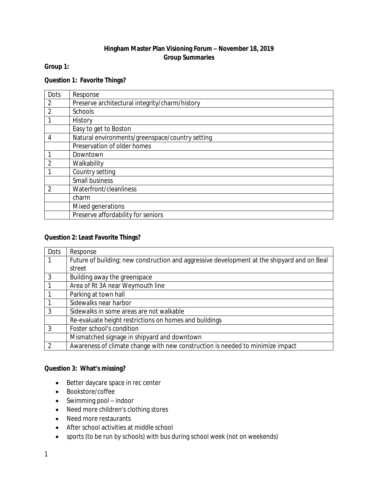## **Hingham Master Plan Visioning Forum – November 18, 2019 Group Summaries**

## **Group 1:**

## **Question 1: Favorite Things?**

| Dots           | Response                                        |
|----------------|-------------------------------------------------|
| 2              | Preserve architectural integrity/charm/history  |
| $\overline{2}$ | Schools                                         |
|                | History                                         |
|                | Easy to get to Boston                           |
| 4              | Natural environments/greenspace/country setting |
|                | Preservation of older homes                     |
|                | Downtown                                        |
| $\overline{2}$ | Walkability                                     |
|                | Country setting                                 |
|                | Small business                                  |
| $\mathfrak{D}$ | Waterfront/cleanliness                          |
|                | charm                                           |
|                | Mixed generations                               |
|                | Preserve affordability for seniors              |

#### **Question 2: Least Favorite Things?**

| Dots | Response                                                                                    |
|------|---------------------------------------------------------------------------------------------|
|      | Future of building; new construction and aggressive development at the shipyard and on Beal |
|      | street                                                                                      |
| 3    | Building away the greenspace                                                                |
|      | Area of Rt 3A near Weymouth line                                                            |
|      | Parking at town hall                                                                        |
|      | Sidewalks near harbor                                                                       |
| 3    | Sidewalks in some areas are not walkable                                                    |
|      | Re-evaluate height restrictions on homes and buildings                                      |
| 3    | Foster school's condition                                                                   |
|      | Mismatched signage in shipyard and downtown                                                 |
|      | Awareness of climate change with new construction is needed to minimize impact              |

## **Question 3: What's missing?**

- Better daycare space in rec center
- Bookstore/coffee
- Swimming pool indoor
- Need more children's clothing stores
- Need more restaurants
- After school activities at middle school
- sports (to be run by schools) with bus during school week (not on weekends)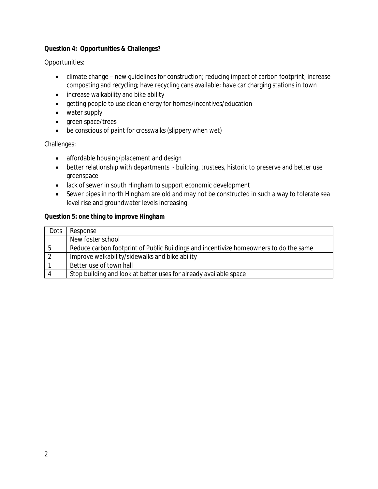## **Question 4: Opportunities & Challenges?**

Opportunities:

- climate change new guidelines for construction; reducing impact of carbon footprint; increase composting and recycling; have recycling cans available; have car charging stations in town
- increase walkability and bike ability
- getting people to use clean energy for homes/incentives/education
- water supply
- green space/trees
- be conscious of paint for crosswalks (slippery when wet)

Challenges:

- affordable housing/placement and design
- better relationship with departments building, trustees, historic to preserve and better use greenspace
- lack of sewer in south Hingham to support economic development
- Sewer pipes in north Hingham are old and may not be constructed in such a way to tolerate sea level rise and groundwater levels increasing.

### **Question 5: one thing to improve Hingham**

| Dots | Response                                                                              |
|------|---------------------------------------------------------------------------------------|
|      | New foster school                                                                     |
|      | Reduce carbon footprint of Public Buildings and incentivize homeowners to do the same |
|      | Improve walkability/sidewalks and bike ability                                        |
|      | Better use of town hall                                                               |
|      | Stop building and look at better uses for already available space                     |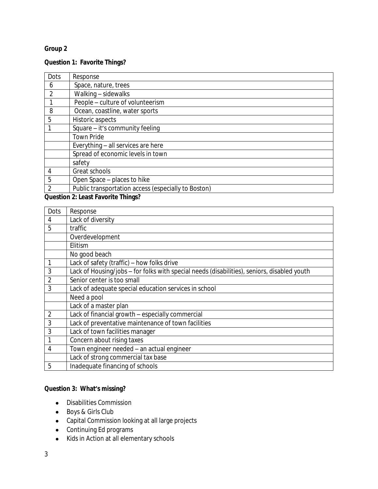## **Group 2**

# **Question 1: Favorite Things?**

| Dots           | Response                                            |
|----------------|-----------------------------------------------------|
| 6              | Space, nature, trees                                |
| 2              | Walking - sidewalks                                 |
|                | People - culture of volunteerism                    |
| 8              | Ocean, coastline, water sports                      |
| 5              | Historic aspects                                    |
|                | Square - it's community feeling                     |
|                | <b>Town Pride</b>                                   |
|                | Everything - all services are here                  |
|                | Spread of economic levels in town                   |
|                | safety                                              |
| 4              | Great schools                                       |
| 5              | Open Space - places to hike                         |
| $\overline{2}$ | Public transportation access (especially to Boston) |

**Question 2: Least Favorite Things?**

| Dots           | Response                                                                                    |
|----------------|---------------------------------------------------------------------------------------------|
| 4              | Lack of diversity                                                                           |
| 5              | traffic                                                                                     |
|                | Overdevelopment                                                                             |
|                | Elitism                                                                                     |
|                | No good beach                                                                               |
|                | Lack of safety (traffic) - how folks drive                                                  |
| 3              | Lack of Housing/jobs - for folks with special needs (disabilities), seniors, disabled youth |
| 2              | Senior center is too small                                                                  |
| 3              | Lack of adequate special education services in school                                       |
|                | Need a pool                                                                                 |
|                | Lack of a master plan                                                                       |
| $\overline{2}$ | Lack of financial growth - especially commercial                                            |
| 3              | Lack of preventative maintenance of town facilities                                         |
| 3              | Lack of town facilities manager                                                             |
|                | Concern about rising taxes                                                                  |
| 4              | Town engineer needed - an actual engineer                                                   |
|                | Lack of strong commercial tax base                                                          |
| 5              | Inadequate financing of schools                                                             |

# **Question 3: What's missing?**

- Disabilities Commission
- Boys & Girls Club
- Capital Commission looking at all large projects
- Continuing Ed programs
- Kids in Action at all elementary schools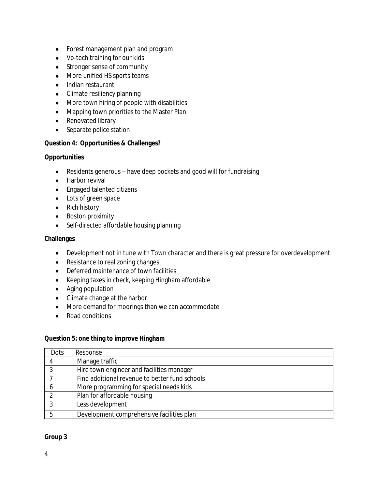- Forest management plan and program
- Vo-tech training for our kids
- Stronger sense of community
- More unified HS sports teams
- Indian restaurant
- Climate resiliency planning
- More town hiring of people with disabilities
- Mapping town priorities to the Master Plan
- Renovated library
- Separate police station

#### **Question 4: Opportunities & Challenges?**

#### **Opportunities**

- Residents generous have deep pockets and good will for fundraising
- Harbor revival
- Engaged talented citizens
- Lots of green space
- Rich history
- Boston proximity
- Self-directed affordable housing planning

#### **Challenges**

- Development not in tune with Town character and there is great pressure for overdevelopment
- Resistance to real zoning changes
- Deferred maintenance of town facilities
- Keeping taxes in check, keeping Hingham affordable
- Aging population
- Climate change at the harbor
- More demand for moorings than we can accommodate
- Road conditions

#### **Question 5: one thing to improve Hingham**

| Dots | Response                                       |
|------|------------------------------------------------|
|      | Manage traffic                                 |
|      | Hire town engineer and facilities manager      |
|      | Find additional revenue to better fund schools |
|      | More programming for special needs kids        |
|      | Plan for affordable housing                    |
|      | Less development                               |
|      | Development comprehensive facilities plan      |

#### **Group 3**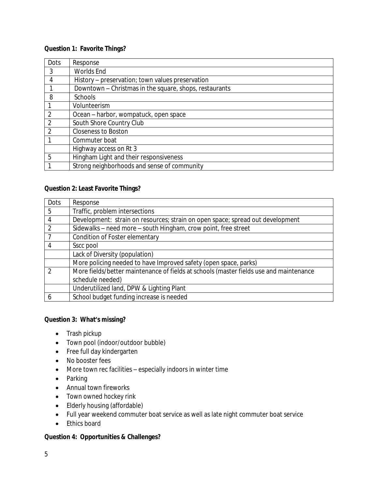### **Question 1: Favorite Things?**

| Dots           | Response                                               |
|----------------|--------------------------------------------------------|
| 3              | Worlds End                                             |
| 4              | History - preservation; town values preservation       |
|                | Downtown - Christmas in the square, shops, restaurants |
| 8              | Schools                                                |
|                | Volunteerism                                           |
| $\overline{2}$ | Ocean - harbor, wompatuck, open space                  |
| $\overline{2}$ | South Shore Country Club                               |
| $\mathfrak{D}$ | <b>Closeness to Boston</b>                             |
|                | Commuter boat                                          |
|                | Highway access on Rt 3                                 |
| 5              | Hingham Light and their responsiveness                 |
|                | Strong neighborhoods and sense of community            |

## **Question 2: Least Favorite Things?**

| Dots          | Response                                                                               |
|---------------|----------------------------------------------------------------------------------------|
| 5             | Traffic, problem intersections                                                         |
| 4             | Development: strain on resources; strain on open space; spread out development         |
|               | Sidewalks – need more – south Hingham, crow point, free street                         |
|               | Condition of Foster elementary                                                         |
| 4             | Sscc pool                                                                              |
|               | Lack of Diversity (population)                                                         |
|               | More policing needed to have Improved safety (open space, parks)                       |
| $\mathcal{D}$ | More fields/better maintenance of fields at schools (master fields use and maintenance |
|               | schedule needed)                                                                       |
|               | Underutilized land, DPW & Lighting Plant                                               |
|               | School budget funding increase is needed                                               |

## **Question 3: What's missing?**

- Trash pickup
- Town pool (indoor/outdoor bubble)
- Free full day kindergarten
- No booster fees
- More town rec facilities especially indoors in winter time
- Parking
- Annual town fireworks
- Town owned hockey rink
- Elderly housing (affordable)
- Full year weekend commuter boat service as well as late night commuter boat service
- Ethics board

## **Question 4: Opportunities & Challenges?**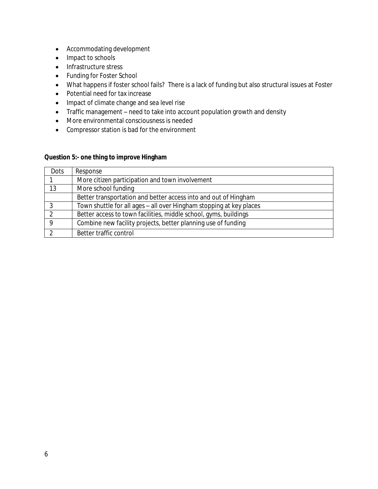- Accommodating development
- Impact to schools
- Infrastructure stress
- Funding for Foster School
- What happens if foster school fails? There is a lack of funding but also structural issues at Foster
- Potential need for tax increase
- Impact of climate change and sea level rise
- Traffic management need to take into account population growth and density
- More environmental consciousness is needed
- Compressor station is bad for the environment

### **Question 5:- one thing to improve Hingham**

| Dots | Response                                                            |
|------|---------------------------------------------------------------------|
|      | More citizen participation and town involvement                     |
| 13   | More school funding                                                 |
|      | Better transportation and better access into and out of Hingham     |
|      | Town shuttle for all ages - all over Hingham stopping at key places |
|      | Better access to town facilities, middle school, gyms, buildings    |
| Q    | Combine new facility projects, better planning use of funding       |
|      | Better traffic control                                              |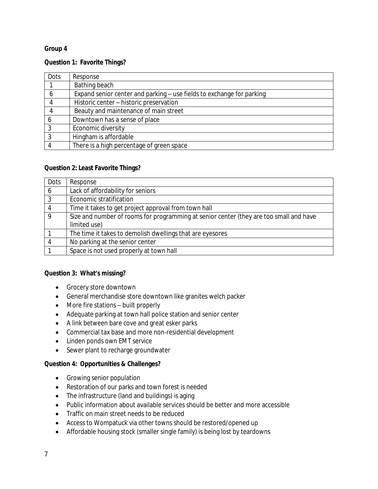## **Group 4**

#### **Question 1: Favorite Things?**

| Dots | Response                                                              |
|------|-----------------------------------------------------------------------|
|      | Bathing beach                                                         |
| 6    | Expand senior center and parking - use fields to exchange for parking |
|      | Historic center - historic preservation                               |
|      | Beauty and maintenance of main street                                 |
| 6    | Downtown has a sense of place                                         |
| 3    | Economic diversity                                                    |
| 3    | Hingham is affordable                                                 |
|      | There is a high percentage of green space                             |

## **Question 2: Least Favorite Things?**

| Dots | Response                                                                               |
|------|----------------------------------------------------------------------------------------|
| 6    | Lack of affordability for seniors                                                      |
| 3    | Economic stratification                                                                |
| 4    | Time it takes to get project approval from town hall                                   |
| 9    | Size and number of rooms for programming at senior center (they are too small and have |
|      | limited use)                                                                           |
|      | The time it takes to demolish dwellings that are eyesores                              |
|      | No parking at the senior center                                                        |
|      | Space is not used properly at town hall                                                |

## **Question 3: What's missing?**

- Grocery store downtown
- General merchandise store downtown like granites welch packer
- More fire stations built properly
- Adequate parking at town hall police station and senior center
- A link between bare cove and great esker parks
- Commercial tax base and more non-residential development
- Linden ponds own EMT service
- Sewer plant to recharge groundwater

#### **Question 4: Opportunities & Challenges?**

- Growing senior population
- Restoration of our parks and town forest is needed
- The infrastructure (land and buildings) is aging
- Public information about available services should be better and more accessible
- Traffic on main street needs to be reduced
- Access to Wompatuck via other towns should be restored/opened up
- Affordable housing stock (smaller single family) is being lost by teardowns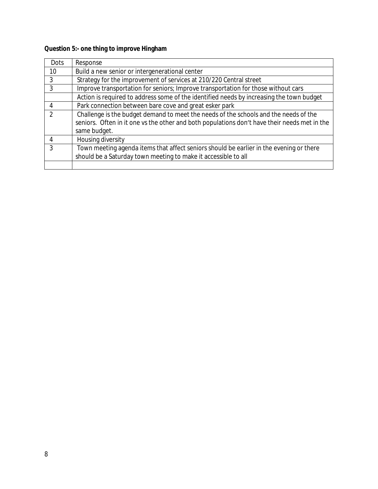# **Question 5:- one thing to improve Hingham**

| Dots | Response                                                                                     |
|------|----------------------------------------------------------------------------------------------|
| 10   | Build a new senior or intergenerational center                                               |
| 3    | Strategy for the improvement of services at 210/220 Central street                           |
| 3    | Improve transportation for seniors; Improve transportation for those without cars            |
|      | Action is required to address some of the identified needs by increasing the town budget     |
|      | Park connection between bare cove and great esker park                                       |
|      | Challenge is the budget demand to meet the needs of the schools and the needs of the         |
|      | seniors. Often in it one vs the other and both populations don't have their needs met in the |
|      | same budget.                                                                                 |
|      | Housing diversity                                                                            |
| ़    | Town meeting agenda items that affect seniors should be earlier in the evening or there      |
|      | should be a Saturday town meeting to make it accessible to all                               |
|      |                                                                                              |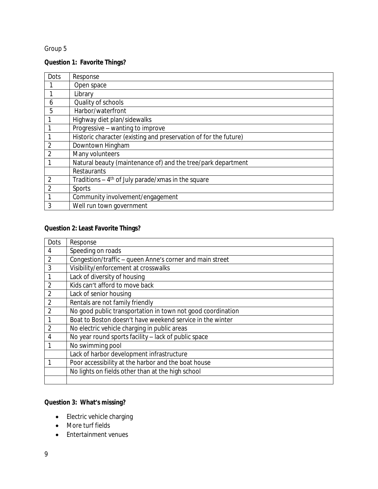# Group 5

# **Question 1: Favorite Things?**

| Dots           | Response                                                         |
|----------------|------------------------------------------------------------------|
|                | Open space                                                       |
|                | Library                                                          |
| 6              | Quality of schools                                               |
| 5              | Harbor/waterfront                                                |
|                | Highway diet plan/sidewalks                                      |
|                | Progressive - wanting to improve                                 |
|                | Historic character (existing and preservation of for the future) |
| $\overline{2}$ | Downtown Hingham                                                 |
| $\overline{2}$ | Many volunteers                                                  |
|                | Natural beauty (maintenance of) and the tree/park department     |
|                | <b>Restaurants</b>                                               |
| 2              | Traditions $-4$ <sup>th</sup> of July parade/xmas in the square  |
| $\overline{2}$ | Sports                                                           |
|                | Community involvement/engagement                                 |
| 3              | Well run town government                                         |

# **Question 2: Least Favorite Things?**

| Dots           | Response                                                    |
|----------------|-------------------------------------------------------------|
| 4              | Speeding on roads                                           |
| $\overline{2}$ | Congestion/traffic - queen Anne's corner and main street    |
| 3              | Visibility/enforcement at crosswalks                        |
|                | Lack of diversity of housing                                |
| $\overline{2}$ | Kids can't afford to move back                              |
| $\overline{2}$ | Lack of senior housing                                      |
| $\overline{2}$ | Rentals are not family friendly                             |
| $\overline{2}$ | No good public transportation in town not good coordination |
|                | Boat to Boston doesn't have weekend service in the winter   |
| $\overline{2}$ | No electric vehicle charging in public areas                |
| 4              | No year round sports facility - lack of public space        |
|                | No swimming pool                                            |
|                | Lack of harbor development infrastructure                   |
|                | Poor accessibility at the harbor and the boat house         |
|                | No lights on fields other than at the high school           |
|                |                                                             |

# **Question 3: What's missing?**

- Electric vehicle charging
- More turf fields
- Entertainment venues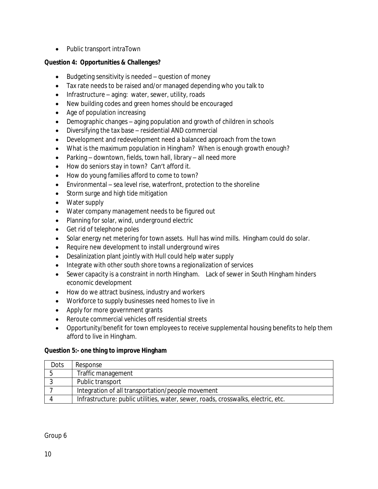Public transport intraTown

## **Question 4: Opportunities & Challenges?**

- Budgeting sensitivity is needed question of money
- Tax rate needs to be raised and/or managed depending who you talk to
- Infrastructure aging: water, sewer, utility, roads
- New building codes and green homes should be encouraged
- Age of population increasing
- Demographic changes aging population and growth of children in schools
- Diversifying the tax base residential AND commercial
- Development and redevelopment need a balanced approach from the town
- What is the maximum population in Hingham? When is enough growth enough?
- Parking downtown, fields, town hall, library all need more
- How do seniors stay in town? Can't afford it.
- How do young families afford to come to town?
- Environmental sea level rise, waterfront, protection to the shoreline
- Storm surge and high tide mitigation
- Water supply
- Water company management needs to be figured out
- Planning for solar, wind, underground electric
- Get rid of telephone poles
- Solar energy net metering for town assets. Hull has wind mills. Hingham could do solar.
- Require new development to install underground wires
- Desalinization plant jointly with Hull could help water supply
- Integrate with other south shore towns a regionalization of services
- Sewer capacity is a constraint in north Hingham. Lack of sewer in South Hingham hinders economic development
- How do we attract business, industry and workers
- Workforce to supply businesses need homes to live in
- Apply for more government grants
- Reroute commercial vehicles off residential streets
- Opportunity/benefit for town employees to receive supplemental housing benefits to help them afford to live in Hingham.

## **Question 5:- one thing to improve Hingham**

| Dots | Response                                                                          |
|------|-----------------------------------------------------------------------------------|
|      | Traffic management                                                                |
|      | Public transport                                                                  |
|      | Integration of all transportation/people movement                                 |
|      | Infrastructure: public utilities, water, sewer, roads, crosswalks, electric, etc. |

Group 6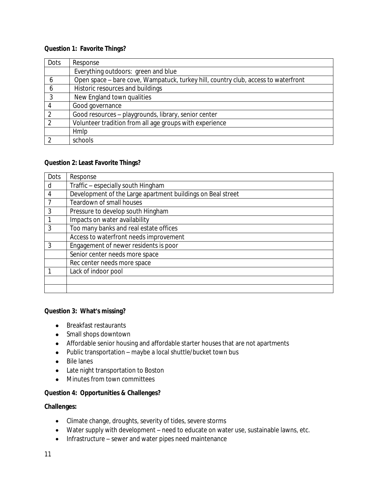#### **Question 1: Favorite Things?**

| Dots           | Response                                                                           |
|----------------|------------------------------------------------------------------------------------|
|                | Everything outdoors: green and blue                                                |
| 6              | Open space - bare cove, Wampatuck, turkey hill, country club, access to waterfront |
| h              | Historic resources and buildings                                                   |
| 3              | New England town qualities                                                         |
| 4              | Good governance                                                                    |
| $\overline{2}$ | Good resources - playgrounds, library, senior center                               |
| $\Omega$       | Volunteer tradition from all age groups with experience                            |
|                | Hmlp                                                                               |
| - 2            | schools                                                                            |

### **Question 2: Least Favorite Things?**

| Dots | Response                                                    |
|------|-------------------------------------------------------------|
| d    | Traffic - especially south Hingham                          |
| 4    | Development of the Large apartment buildings on Beal street |
|      | Teardown of small houses                                    |
| 3    | Pressure to develop south Hingham                           |
|      | Impacts on water availability                               |
| 3    | Too many banks and real estate offices                      |
|      | Access to waterfront needs improvement                      |
| 3    | Engagement of newer residents is poor                       |
|      | Senior center needs more space                              |
|      | Rec center needs more space                                 |
|      | Lack of indoor pool                                         |
|      |                                                             |
|      |                                                             |

### **Question 3: What's missing?**

- Breakfast restaurants
- Small shops downtown
- Affordable senior housing and affordable starter houses that are not apartments
- Public transportation maybe a local shuttle/bucket town bus
- Bile lanes
- Late night transportation to Boston
- $\bullet$  Minutes from town committees

## **Question 4: Opportunities & Challenges?**

#### **Challenges:**

- Climate change, droughts, severity of tides, severe storms
- Water supply with development need to educate on water use, sustainable lawns, etc.
- Infrastructure sewer and water pipes need maintenance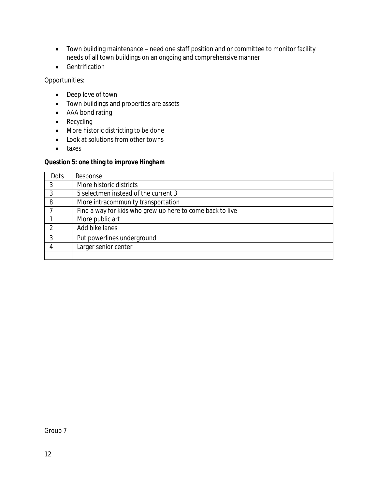- Town building maintenance need one staff position and or committee to monitor facility needs of all town buildings on an ongoing and comprehensive manner
- **•** Gentrification

Opportunities:

- Deep love of town
- Town buildings and properties are assets
- AAA bond rating
- Recycling
- More historic districting to be done
- Look at solutions from other towns
- taxes

## **Question 5: one thing to improve Hingham**

| Dots | Response                                                  |
|------|-----------------------------------------------------------|
|      | More historic districts                                   |
| 3    | 5 selectmen instead of the current 3                      |
| 8    | More intracommunity transportation                        |
|      | Find a way for kids who grew up here to come back to live |
|      | More public art                                           |
|      | Add bike lanes                                            |
| 3    | Put powerlines underground                                |
|      | Larger senior center                                      |
|      |                                                           |

Group 7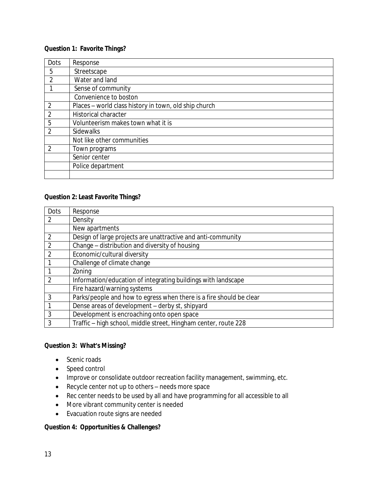### **Question 1: Favorite Things?**

| Dots           | Response                                              |
|----------------|-------------------------------------------------------|
| 5              | Streetscape                                           |
| 2              | Water and land                                        |
|                | Sense of community                                    |
|                | Convenience to boston                                 |
| $\overline{2}$ | Places - world class history in town, old ship church |
| $\overline{2}$ | <b>Historical character</b>                           |
| 5              | Volunteerism makes town what it is                    |
| $\overline{2}$ | <b>Sidewalks</b>                                      |
|                | Not like other communities                            |
| $\overline{2}$ | Town programs                                         |
|                | Senior center                                         |
|                | Police department                                     |
|                |                                                       |

#### **Question 2: Least Favorite Things?**

| Dots          | Response                                                            |
|---------------|---------------------------------------------------------------------|
| $\mathcal{P}$ | Density                                                             |
|               | New apartments                                                      |
| $\mathcal{P}$ | Design of large projects are unattractive and anti-community        |
| 2             | Change - distribution and diversity of housing                      |
|               | Economic/cultural diversity                                         |
|               | Challenge of climate change                                         |
|               | Zoning                                                              |
| っ             | Information/education of integrating buildings with landscape       |
|               | Fire hazard/warning systems                                         |
| 3             | Parks/people and how to egress when there is a fire should be clear |
|               | Dense areas of development - derby st, shipyard                     |
| 3             | Development is encroaching onto open space                          |
|               | Traffic - high school, middle street, Hingham center, route 228     |

## **Question 3: What's Missing?**

- Scenic roads
- Speed control
- Improve or consolidate outdoor recreation facility management, swimming, etc.
- Recycle center not up to others needs more space
- Rec center needs to be used by all and have programming for all accessible to all
- More vibrant community center is needed
- Evacuation route signs are needed

#### **Question 4: Opportunities & Challenges?**